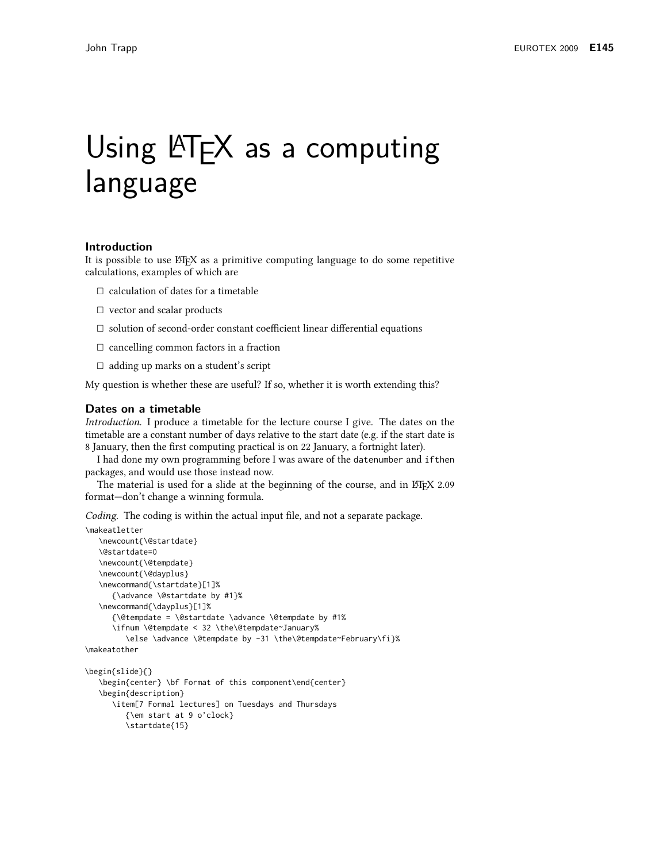# Using LATEX as a computing language

## Introduction

It is possible to use ET<sub>F</sub>X as a primitive computing language to do some repetitive calculations, examples of which are

- $\Box$  calculation of dates for a timetable
- $\Box$  vector and scalar products
- $\Box$  solution of second-order constant coefficient linear differential equations
- $\Box$  cancelling common factors in a fraction
- $\Box$  adding up marks on a student's script

My question is whether these are useful? If so, whether it is worth extending this?

#### Dates on a timetable

Introduction. I produce a timetable for the lecture course I give. The dates on the timetable are a constant number of days relative to the start date (e.g. if the start date is 8 January, then the first computing practical is on 22 January, a fortnight later).

I had done my own programming before I was aware of the datenumber and if then packages, and would use those instead now.

The material is used for a slide at the beginning of the course, and in ET<sub>F</sub>X 2.09 format-don't change a winning formula.

Coding. The coding is within the actual input file, and not a separate package.

```
\makeatletter
   \newcount{\@startdate}
   \@startdate=0
   \newcount{\@tempdate}
   \newcount{\@dayplus}
   \newcommand{\startdate}[1]%
     {\advance \@startdate by #1}%
   \newcommand{\dayplus}[1]%
      {\@tempdate = \@startdate \advance \@tempdate by #1%
      \ifnum \@tempdate < 32 \the\@tempdate~January%
         \else \advance \@tempdate by -31 \the\@tempdate~February\fi}%
\makeatother
\begin{slide}{}
   \begin{center} \bf Format of this component\end{center}
   \begin{description}
      \item[7 Formal lectures] on Tuesdays and Thursdays
        {\em start at 9 o'clock}
         \startdate{15}
```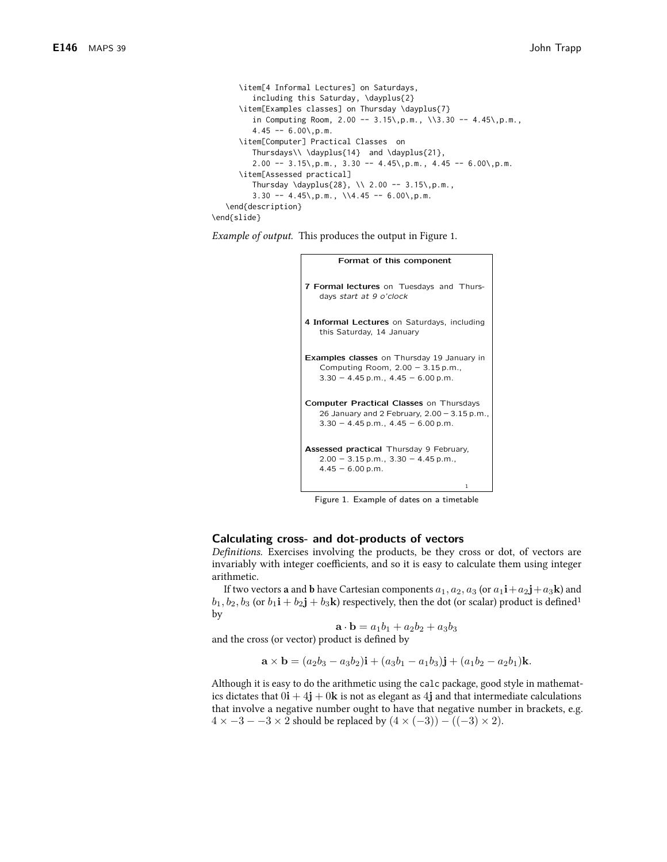```
\item[4 Informal Lectures] on Saturdays,
         including this Saturday, \dayplus{2}
      \item[Examples classes] on Thursday \dayplus{7}
         in Computing Room, 2.00 -- 3.15\,p.m., \\3.30 -- 4.45\,p.m.,
         4.45 - 6.00\text{, p.m.}\item[Computer] Practical Classes on
         Thursdays\\\dayplus{14} and \dayplus{21},
         2.00 - 3.15\, p.m., 3.30 - 4.45\, p.m., 4.45 - 6.00\, p.m.
      \item[Assessed practical]
         Thursday \dayplus{28}, \\ 2.00 -- 3.15\,p.m.,
         3.30 - 4.45, p.m., \\4.45 -- 6.00\, p.m.
   \end{description}
\end{slide}
```
*Example of output.* This produces the output in Figure 1.

```
Format of this component
7 Formal lectures on Tuesdays and Thurs-
   days start at 9 o'clock
4 Informal Lectures on Saturdays, including
   this Saturday, 14 January
Examples classes on Thursday 19 January in
   Computing Room, 2.00 - 3.15 p.m.,
   3.30 - 4.45 p.m., 4.45 - 6.00 p.m.
Computer Practical Classes on Thursdays
   26 January and 2 February, 2.00 - 3.15 p.m.,
   3.30 - 4.45 p.m., 4.45 - 6.00 p.m.
Assessed practical Thursday 9 February,
   2.00 - 3.15 p.m., 3.30 - 4.45 p.m.,
   4.45 - 6.00 p.m.
```
Figure 1. Example of dates on a timetable

#### Calculating cross- and dot-products of vectors

Definitions. Exercises involving the products, be they cross or dot, of vectors are invariably with integer coefficients, and so it is easy to calculate them using integer arithmetic.

If two vectors **a** and **b** have Cartesian components  $a_1$ ,  $a_2$ ,  $a_3$  (or  $a_1$ **i** +  $a_2$ **j** +  $a_3$ **k**) and  $b_1, b_2, b_3$  (or  $b_1$ **i** +  $b_2$ **j** +  $b_3$ **k**) respectively, then the dot (or scalar) product is defined<sup>1</sup> by

$$
\mathbf{a} \cdot \mathbf{b} = a_1b_1 + a_2b_2 + a_3b_3
$$

and the cross (or vector) product is defined by

$$
\mathbf{a} \times \mathbf{b} = (a_2b_3 - a_3b_2)\mathbf{i} + (a_3b_1 - a_1b_3)\mathbf{j} + (a_1b_2 - a_2b_1)\mathbf{k}.
$$

Although it is easy to do the arithmetic using the calc package, good style in mathematics dictates that  $0\mathbf{i} + 4\mathbf{j} + 0\mathbf{k}$  is not as elegant as 4j and that intermediate calculations that involve a negative number ought to have that negative number in brackets, e.g.  $4 \times -3 - 3 \times 2$  should be replaced by  $(4 \times (-3)) - ((-3) \times 2)$ .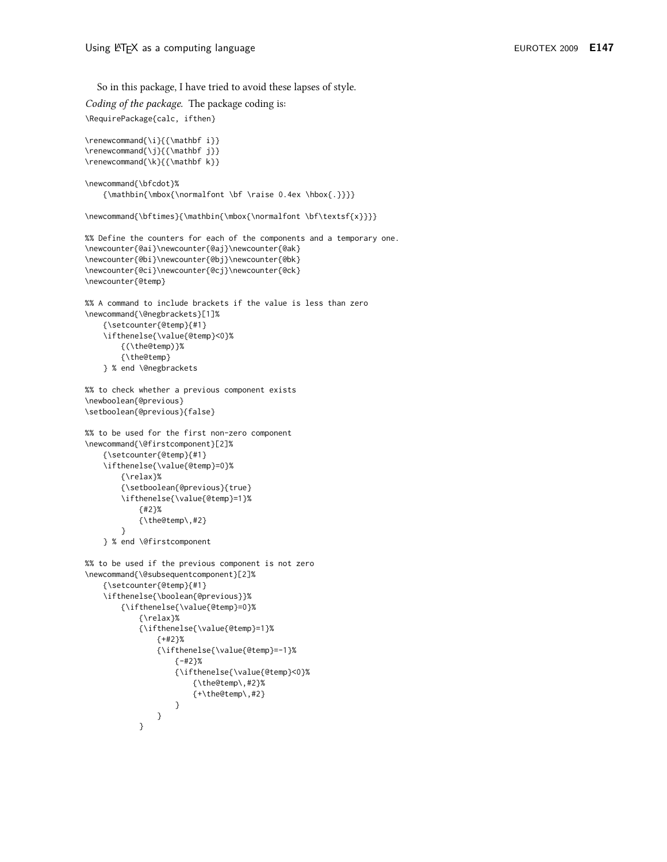So in this package, I have tried to avoid these lapses of style. Coding of the package. The package coding is: \RequirePackage{calc, ifthen} \renewcommand{\i}{{\mathbf i}} \renewcommand{\j}{{\mathbf j}} \renewcommand{\k}{{\mathbf k}} \newcommand{\bfcdot}% {\mathbin{\mbox{\normalfont \bf \raise 0.4ex \hbox{.}}}} \newcommand{\bftimes}{\mathbin{\mbox{\normalfont \bf\textsf{x}}}} %% Define the counters for each of the components and a temporary one. \newcounter{@ai}\newcounter{@aj}\newcounter{@ak} \newcounter{@bi}\newcounter{@bj}\newcounter{@bk} \newcounter{@ci}\newcounter{@cj}\newcounter{@ck} \newcounter{@temp} %% A command to include brackets if the value is less than zero \newcommand{\@negbrackets}[1]% {\setcounter{@temp}{#1} \ifthenelse{\value{@temp}<0}% {(\the@temp)}% {\the@temp} } % end \@negbrackets %% to check whether a previous component exists \newboolean{@previous} \setboolean{@previous}{false} %% to be used for the first non-zero component \newcommand{\@firstcomponent}[2]% {\setcounter{@temp}{#1} \ifthenelse{\value{@temp}=0}% {\relax}% {\setboolean{@previous}{true} \ifthenelse{\value{@temp}=1}%  ${#2}$ {\the@temp\,#2}  $\mathcal{E}$ } % end \@firstcomponent %% to be used if the previous component is not zero \newcommand{\@subsequentcomponent}[2]% {\setcounter{@temp}{#1} \ifthenelse{\boolean{@previous}}% {\ifthenelse{\value{@temp}=0}% {\relax}% {\ifthenelse{\value{@temp}=1}%  ${+42}$ % {\ifthenelse{\value{@temp} = -1}%  ${-12}$ % {\ifthenelse{\value{@temp}<0}% {\the@temp\,#2}% {+\the@temp\,#2} }  $\mathcal{E}$  $\lambda$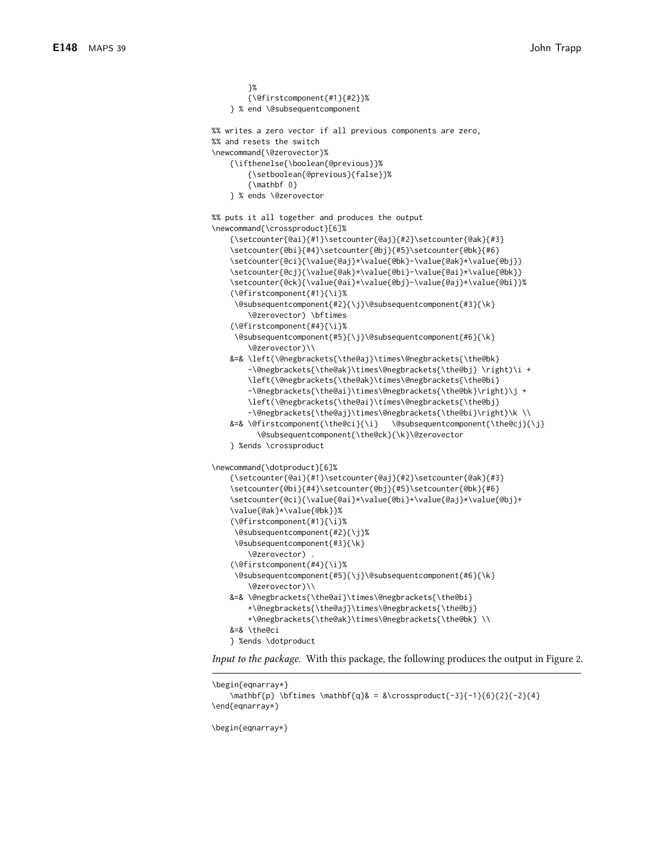```
}%
        {\@firstcomponent{#1}{#2}}%
    } % end \@subsequentcomponent
%% writes a zero vector if all previous components are zero,
%% and resets the switch
\newcommand{\@zerovector}%
    {\ifthenelse{\boolean{@previous}}%
        {\setboolean{@previous}{false}}%
        {\mathbf 0}
    } % ends \@zerovector
%% puts it all together and produces the output
\newcommand{\crossproduct}[6]%
    \verb|{\setcounter{0a}1}{\setminus \set{0a}1}| \verb|#1}{\set{} \setminus \set{0a}1}| \verb|#2}{\set{} \set{} \set{} \verb|#3|\setcounter{@bi}{#4}\setcounter{@bj}{#5}\setcounter{@bk}{#6}
    \setcounter{@ci}{\value{@aj}*\value{@bk}-\value{@ak}*\value{@bj}}
    \setcounter{@cj}{\value{@ak}*\value{@bi}-\value{@ai}*\value{@bk}}
    \setcounter{@ck}{\value{@ai}*\value{@bj}-\value{@aj}*\value{@bi}}%
    (\@firstcomponent{#1}{\i}%
     \@subsequentcomponent{#2}{\j}\@subsequentcomponent{#3}{\k}
        \@zerovector) \bftimes
    (\@firstcomponent{#4}{\i}%
     \@subsequentcomponent{#5}{\j}\@subsequentcomponent{#6}{\k}
        \@zerovector)\\
    &=& \left(\@negbrackets{\the@aj}\times\@negbrackets{\the@bk}
        -\@negbrackets{\the@ak}\times\@negbrackets{\the@bj} \right)\i +
        \left(\@negbrackets{\the@ak}\times\@negbrackets{\the@bi}
        -\@negbrackets{\the@ai}\times\@negbrackets{\the@bk}\right)\j +
        \left(\@negbrackets{\the@ai}\times\@negbrackets{\the@bj}
        -\@negbrackets{\the@aj}\times\@negbrackets{\the@bi}\right)\k \\
    &=& \@firstcomponent{\the@ci}{\i} \@subsequentcomponent{\the@cj}{\j}
          \@subsequentcomponent{\the@ck}{\k}\@zerovector
    } %ends \crossproduct
\newcommand{\dotproduct}[6]%
    {\setcounter{@ai}{#1}\setcounter{@aj}{#2}\setcounter{@ak}{#3}
    \setcounter{@bi}{#4}\setcounter{@bj}{#5}\setcounter{@bk}{#6}
    \setcounter{@ci}{\value{@ai}*\value{@bi}+\value{@aj}*\value{@bj}+
    \value{@ak}*\value{@bk}}%
    (\@firstcomponent{#1}{\i}%
     \@subsequentcomponent{#2}{\j}%
     \@subsequentcomponent{#3}{\k}
        \@zerovector) .
    (\@firstcomponent{#4}{\i}%
     \@subsequentcomponent{#5}{\j}\@subsequentcomponent{#6}{\k}
        \@zerovector)\\
    &=& \@negbrackets{\the@ai}\times\@negbrackets{\the@bi}
        +\@negbrackets{\the@aj}\times\@negbrackets{\the@bj}
        +\@negbrackets{\the@ak}\times\@negbrackets{\the@bk} \\
    &=& \the@ci
    } %ends \dotproduct
Input to the package. With this package, the following produces the output in Figure 2.
```

```
\begin{eqnarray*}
    \mathbf{p} \bftimes \mathbf{q}& = &\crossproduct{-3}{-1}{6}{2}{-2}{4}
\end{eqnarray*}
```
\begin{eqnarray\*}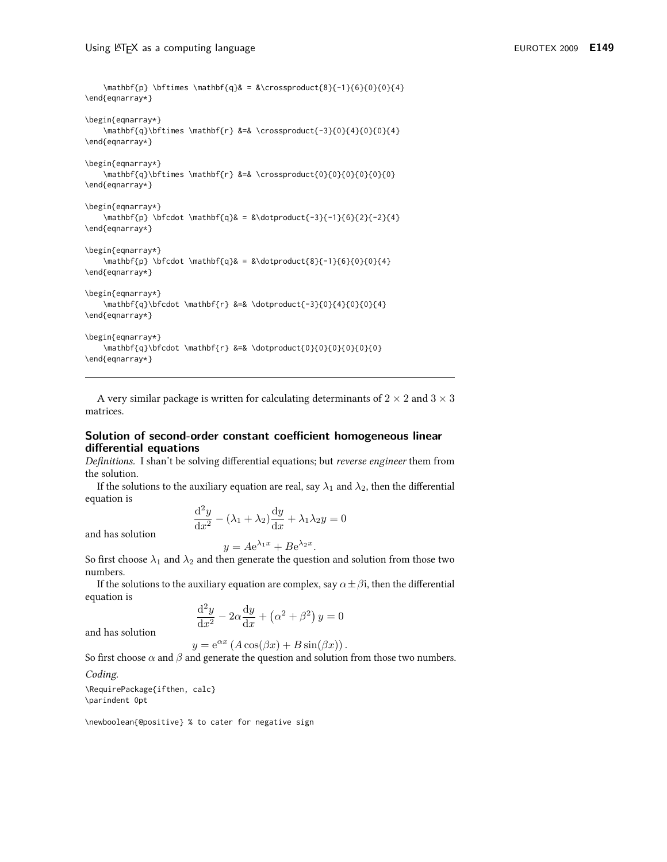```
\mathbf{p} \bftimes \mathbf{q}& = &\crossproduct{8}{-1}{6}{0}{0}{4}
\end{eqnarray*}
\begin{eqnarray*}
    \mathbf{q}\bftimes \mathbf{r} &=& \crossproduct{-3}{0}{4}{0}{0}{4}
\end{eqnarray*}
\begin{eqnarray*}
    \mathbf{q}\bftimes \mathbf{r} &=& \crossproduct{0}{0}{0}{0}{0}{0}
\end{eqnarray*}
\begin{eqnarray*}
    \mathbf{p} \bfcdot \mathbf{q}& = &\dotproduct{-3}{-1}{6}{2}{-2}{4}
\end{eqnarray*}
\begin{eqnarray*}
    \mathbf{p} \bfcdot \mathbf{q}& = &\dotproduct{8}{-1}{6}{0}{0}{4}
\end{eqnarray*}
\begin{eqnarray*}
    \mathbf{q}\bfcdot \mathbf{r} &=& \dotproduct{-3}{0}{4}{0}{0}{4}
\end{eqnarray*}
\begin{eqnarray*}
    \mathbf{q}\bfcdot \mathbf{r} &=& \dotproduct{0}{0}{0}{0}{0}{0}
\end{eqnarray*}
```
A very similar package is written for calculating determinants of  $2 \times 2$  and  $3 \times 3$ matrices.

## Solution of second-order constant coefficient homogeneous linear differential equations

Definitions. I shan't be solving differential equations; but reverse engineer them from the solution.

If the solutions to the auxiliary equation are real, say  $\lambda_1$  and  $\lambda_2$ , then the differential equation is

$$
\frac{\mathrm{d}^2 y}{\mathrm{d}x^2} - (\lambda_1 + \lambda_2) \frac{\mathrm{d}y}{\mathrm{d}x} + \lambda_1 \lambda_2 y = 0
$$

and has solution

 $y = Ae^{\lambda_1 x} + Be^{\lambda_2 x}.$ So first choose  $\lambda_1$  and  $\lambda_2$  and then generate the question and solution from those two numbers.

If the solutions to the auxiliary equation are complex, say  $\alpha \pm \beta i$ , then the differential equation is

$$
\frac{\mathrm{d}^2 y}{\mathrm{d}x^2} - 2\alpha \frac{\mathrm{d}y}{\mathrm{d}x} + \left(\alpha^2 + \beta^2\right)y = 0
$$

and has solution

$$
y = e^{\alpha x} (A \cos(\beta x) + B \sin(\beta x)).
$$

So first choose  $\alpha$  and  $\beta$  and generate the question and solution from those two numbers.

#### Coding.

\RequirePackage{ifthen, calc} \parindent 0pt

\newboolean{@positive} % to cater for negative sign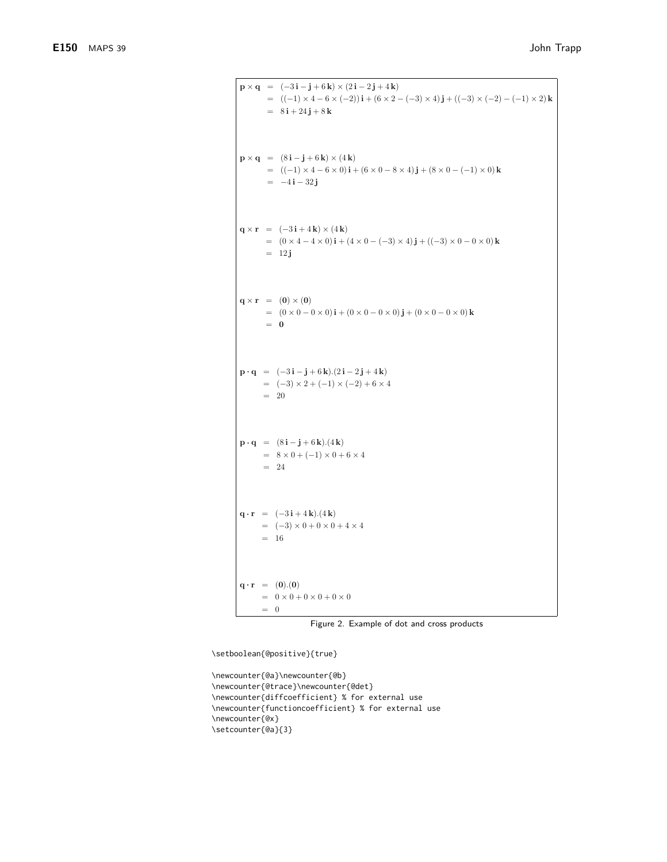```
\mathbf{p} \times \mathbf{q} = (-3\mathbf{i} - \mathbf{j} + 6\mathbf{k}) \times (2\mathbf{i} - 2\mathbf{j} + 4\mathbf{k})= ((-1) \times 4 - 6 \times (-2)) i + (6 \times 2 - (-3) \times 4) j + ((-3) \times (-2) - (-1) \times 2) k= 8\mathbf{i} + 24\mathbf{j} + 8\mathbf{k}\mathbf{p} \times \mathbf{q} = (8\mathbf{i} - \mathbf{j} + 6\mathbf{k}) \times (4\mathbf{k})= ((-1) \times 4 - 6 \times 0)\mathbf{i} + (6 \times 0 - 8 \times 4)\mathbf{j} + (8 \times 0 - (-1) \times 0)\mathbf{k}= -4i - 32j\mathbf{q} \times \mathbf{r} = (-3\mathbf{i} + 4\mathbf{k}) \times (4\mathbf{k})= (0 \times 4 - 4 \times 0)\mathbf{i} + (4 \times 0 - (-3) \times 4)\mathbf{j} + ((-3) \times 0 - 0 \times 0)\mathbf{k}= 12j\mathbf{q} \times \mathbf{r} = (0) \times (0)= (0 \times 0 - 0 \times 0) \mathbf{i} + (0 \times 0 - 0 \times 0) \mathbf{j} + (0 \times 0 - 0 \times 0) \mathbf{k}=\;\;0\mathbf{p} \cdot \mathbf{q} = (-3\mathbf{i} - \mathbf{j} + 6\mathbf{k}).(2\mathbf{i} - 2\mathbf{j} + 4\mathbf{k})= (-3) \times 2 + (-1) \times (-2) + 6 \times 4= 20\mathbf{p} \cdot \mathbf{q} = (8\mathbf{i} - \mathbf{j} + 6\mathbf{k}).(4\mathbf{k})= 8 \times 0 + (-1) \times 0 + 6 \times 4= 24\mathbf{q} \cdot \mathbf{r} = (-3\,\mathbf{i} + 4\,\mathbf{k}).(4\,\mathbf{k})= (-3) \times 0 + 0 \times 0 + 4 \times 4= 16{\bf q} \cdot {\bf r} = (0).(0)= 0 \times 0 + 0 \times 0 + 0 \times 0= 0
```
Figure 2. Example of dot and cross products

\setboolean{@positive}{true}

\newcounter{@a}\newcounter{@b} \newcounter{@trace}\newcounter{@det} \newcounter{diffcoefficient} % for external use \newcounter{functioncoefficient} % for external use \newcounter{@x} \setcounter{@a}{3}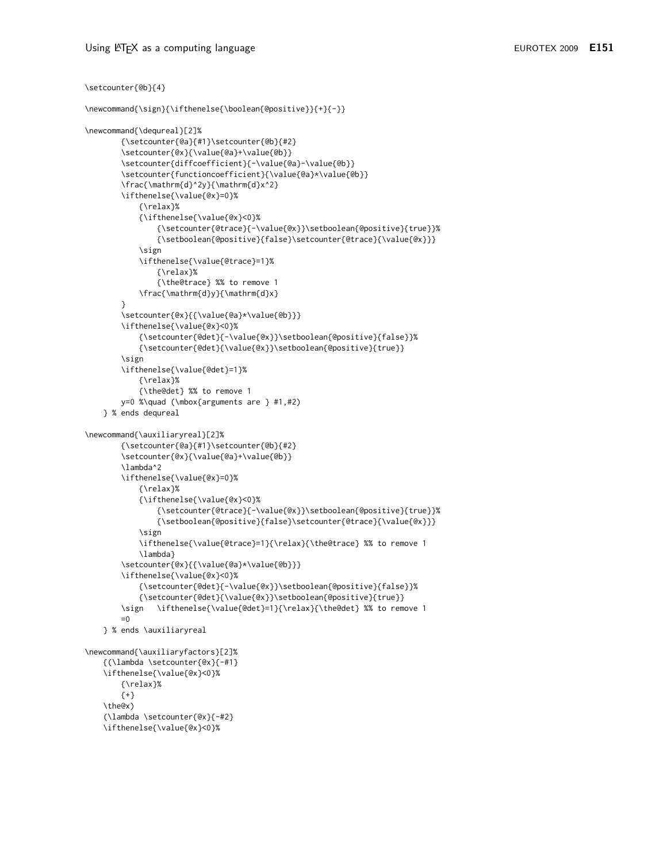\setcounter{@b}{4}

```
\newcommand{\sign}{\ifthenelse{\boolean{@positive}}{+}{-}}
\newcommand{\dequreal}[2]%
        {\setcounter{@a}{#1}\setcounter{@b}{#2}
        \setcounter{@x}{\value{@a}+\value{@b}}
        \setcounter{diffcoefficient}{-\value{@a}-\value{@b}}
        \setcounter{functioncoefficient}{\value{@a}*\value{@b}}
        \frac{\mathrm{d}^2y}{\mathrm{d}x^2}
        \ifthenelse{\value{@x}=0}%
            {\relax}%
            {\ifthenelse{\value{@x}<0}%
                {\setcounter{@trace}{-\value{@x}}\setboolean{@positive}{true}}%
                {\setboolean{@positive}{false}\setcounter{@trace}{\value{@x}}}
            \sign
            \ifthenelse{\value{@trace}=1}%
                \{\ref{relax}\{\the@trace} %% to remove 1
            \frac{\mathrm{d}y}{\mathrm{d}x}
        \setcounter{@x}{{\value{@a}*\value{@b}}}
        \ifthenelse{\value{@x}<0}%
           {\setcounter{@det}{-\value{@x}}\setboolean{@positive}{false}}%
           {\setcounter{@det}{\value{@x}}\setboolean{@positive}{true}}
        \sign
        \ifthenelse{\value{@det}=1}%
           {\relax}%
            {\the@det} %% to remove 1
        y=0 %\quad (\mbox{arguments are } #1,#2)
    } % ends dequreal
\newcommand{\auxiliaryreal}[2]%
        {\setcounter{@a}{#1}\setcounter{@b}{#2}
        \setcounter{@x}{\value{@a}+\value{@b}}
        \lambda^2
        \ifthenelse{\value{@x}=0}%
            {\relax}%
            {\ifthenelse{\value{@x}<0}%
                {\setcounter{@trace}{-\value{@x}}\setboolean{@positive}{true}}%
                {\setboolean{@positive}{false}\setcounter{@trace}{\value{@x}}}
            \sign
            \ifthenelse{\value{@trace}=1}{\relax}{\the@trace} %% to remove 1
            \lambda}
        \setcounter{@x}{{\value{@a}*\value{@b}}}
        \ifthenelse{\value{@x}<0}%
           {\setcounter{@det}{-\value{@x}}\setboolean{@positive}{false}}%
            {\setcounter{@det}{\value{@x}}\setboolean{@positive}{true}}
               \ifthenelse{\value{@det}=1}{\relax}{\the@det} %% to remove 1
        \sign
        = 0} % ends \auxiliaryreal
\newcommand{\auxiliaryfactors}[2]%
    {(\lambda \setcounter{@x}{-#1}
    \ifthenelse{\value{@x}<0}%
        {\relax}%
        {+}\the@x)
    (\lambda \setcounter{@x}{-#2}
    \ifthenelse{\value{@x}<0}%
```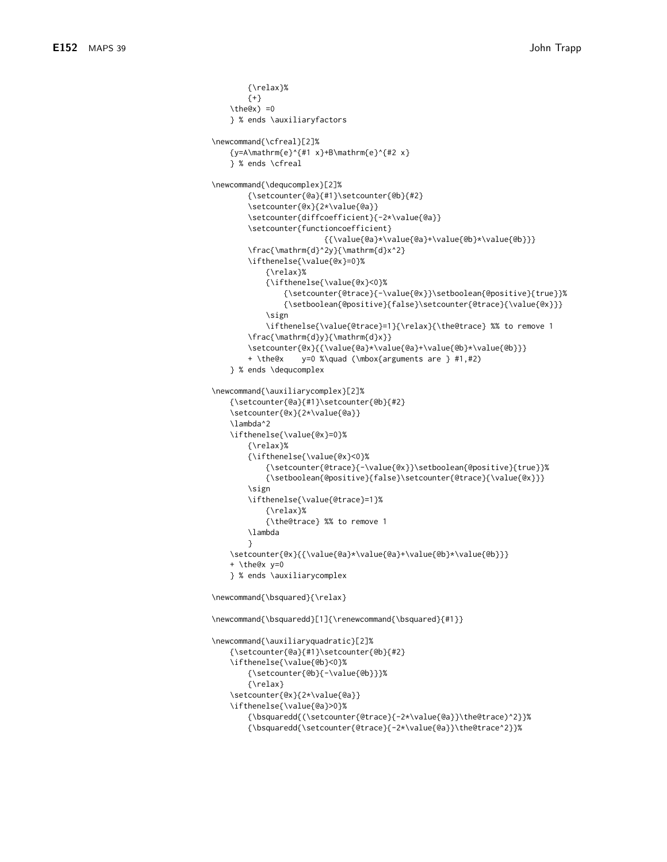```
{\relax}%
        {+}\the@x) =0
    } % ends \auxiliaryfactors
\newcommand{\cfreal}[2]%
    {y=A\mathrm{e}^{#1 x}+B\mathrm{e}^{#2 x}
    } % ends \cfreal
\newcommand{\dequcomplex}[2]%
        {\setcounter{@a}{#1}\setcounter{@b}{#2}
        \setcounter{@x}{2*\value{@a}}
        \setcounter{diffcoefficient}{-2*\value{@a}}
        \setcounter{functioncoefficient}
                         {{\value{@a}*\value{@a}+\value{@b}*\value{@b}}}
        \frac{\mathrm{d}^2y}{\mathrm{d}x^2}
        \ifthenelse{\value{@x}=0}%
            {\relax}%
            {\ifthenelse{\value{@x}<0}%
                {\setcounter{@trace}{-\value{@x}}\setboolean{@positive}{true}}%
                {\setboolean{@positive}{false}\setcounter{@trace}{\value{@x}}}
            \sign
            \ifthenelse{\value{@trace}=1}{\relax}{\the@trace} %% to remove 1
        \frac{\mathrm{d}y}{\mathrm{d}x}}
        \setcounter{@x}{{\value{@a}*\value{@a}+\value{@b}*\value{@b}}}
                  y=0 %\quad (\mbox{arguments are } #1,#2)
        + \the@x
    } % ends \dequcomplex
\newcommand{\auxiliarycomplex}[2]%
    {\setcounter{@a}{#1}\setcounter{@b}{#2}
    \setcounter{@x}{2*\value{@a}}
    \lambda^2
    \ifthenelse{\value{@x}=0}%
        {\relax}%
        {\ifthenelse{\value{@x}<0}%
            {\setcounter{@trace}{-\value{@x}}\setboolean{@positive}{true}}%
            {\setboolean{@positive}{false}\setcounter{@trace}{\value{@x}}}
        \sign
        \ifthenelse{\value{@trace}=1}%
            {\relax}%
            {\the@trace} %% to remove 1
        \lambda
        \lambda\setcounter{@x}{{\value{@a}*\value{@a}+\value{@b}*\value{@b}}}
    + \the@x y=0
    } % ends \auxiliarycomplex
\newcommand{\bsquared}{\relax}
\newcommand{\bsquaredd}[1]{\renewcommand{\bsquared}{#1}}
\newcommand{\auxiliaryquadratic}[2]%
    {\setcounter{@a}{#1}\setcounter{@b}{#2}
    \ifthenelse{\value{@b}<0}%
        {\setcounter{@b}{-\value{@b}}}%
        \{\text{relax}\}\setcounter{@x}{2*\value{@a}}
    \ifthenelse{\value{@a}>0}%
        {\bsquaredd{(\setcounter{@trace}{-2*\value{@a}}\the@trace)^2}}%
        {\bsquaredd{\setcounter{@trace}{-2*\value{@a}}\the@trace^2}}%
```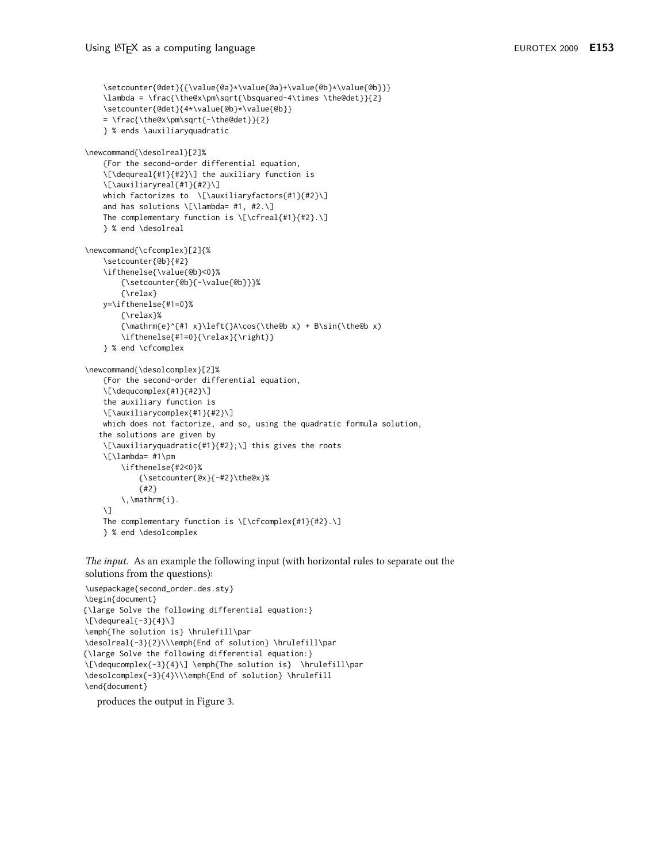```
\setcounter{@det}{{\value{@a}*\value{@a}+\value{@b}*\value{@b}}}
    \lambda = \frac{\the@x\pm\sqrt{\bsquared-4\times \the@det}}{2}
    \setcounter{@det}{4*\value{@b}*\value{@b}}
    =\frac{\the@x\pm\sqrt{-\the@det}}{2}
    } % ends \auxiliaryquadratic
\newcommand{\desolreal}[2]%
    {For the second-order differential equation,
    \[\dequreal{#1}{#2}\] the auxiliary function is
    \[\auxiliaryreal{#1}{#2}\]
    which factorizes to \[\auxiliaryfactors{#1}{#2}\]
    and has solutions \[\lambda= #1, #2.\]
    The complementary function is \[\text{t#1}_{\#2}.\]} % end \desolreal
\newcommand{\cfcomplex}[2]{%
    \setcounter{@b}{#2}
    \ifthenelse{\value{@b}<0}%
        {\setcounter{@b}{-\value{@b}}}%
        {\relax}
    y=\ifthenelse{#1=0}%
        {\relax}%
        {\mathrm{e}^{#1 x}\left(}A\cos(\the@b x) + B\sin(\the@b x)
        \ifthenelse{#1=0}{\relax}{\right)}
    } % end \cfcomplex
\newcommand{\desolcomplex}[2]%
    {For the second-order differential equation,
    \[\dequcomplex{#1}{#2}\]
    the auxiliary function is
    \[\auxiliarycomplex{#1}{#2}\]
    which does not factorize, and so, using the quadratic formula solution,
   the solutions are given by
    \[\auxiliaryquadratic{#1}{#2};\] this gives the roots
    \[\lambda= #1\pm
        \ifthenelse{#2<0}%
            {\setcounter{@x}{-#2}\the@x}%
            {#2}\backslash, \mathrm{i}.
    \sqrt{1}The complementary function is \[\cfcomplex{#1}{#2}.\]
    } % end \desolcomplex
```
The input. As an example the following input (with horizontal rules to separate out the solutions from the questions):

```
\usepackage{second_order.des.sty}
\begin{document}
{\large Solve the following differential equation:}
\Upsilon\left\{ -3\right\}{4}
\emph{The solution is} \hrulefill\par
\desolreal{-3}{2}\\\emph{End of solution} \hrulefill\par
{\large Solve the following differential equation:}
\[\dequcomplex{-3}{4}\] \emph{The solution is} \hrulefill\par
\desolcomplex{-3}{4}\\\emph{End of solution} \hrulefill
\end{document}
```
produces the output in Figure 3.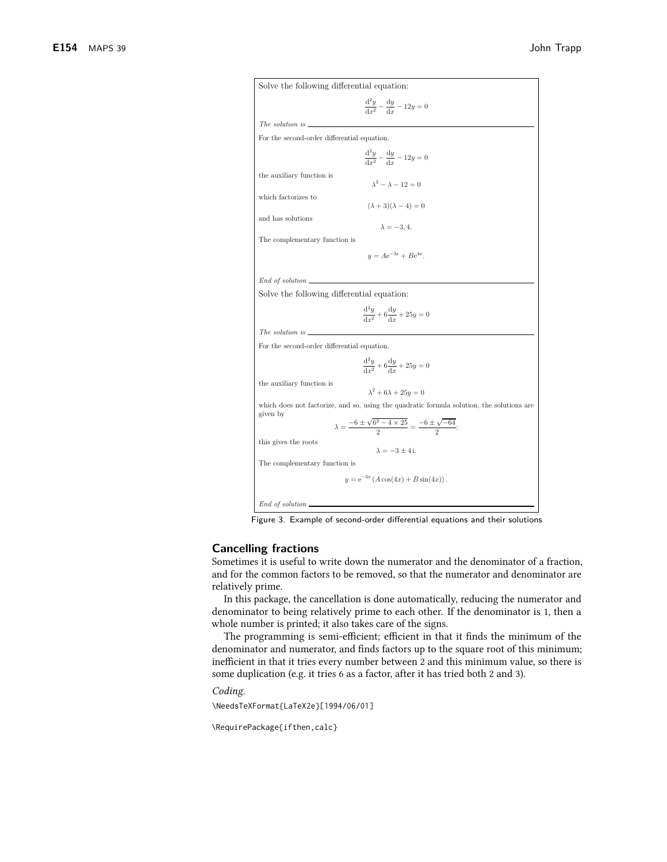

Figure 3. Example of second-order differential equations and their solutions

## **Cancelling fractions**

Sometimes it is useful to write down the numerator and the denominator of a fraction, and for the common factors to be removed, so that the numerator and denominator are relatively prime.

In this package, the cancellation is done automatically, reducing the numerator and denominator to being relatively prime to each other. If the denominator is 1, then a whole number is printed; it also takes care of the signs.

The programming is semi-efficient; efficient in that it finds the minimum of the denominator and numerator, and finds factors up to the square root of this minimum; inefficient in that it tries every number between 2 and this minimum value, so there is some duplication (e.g. it tries 6 as a factor, after it has tried both 2 and 3).

Coding.

\NeedsTeXFormat{LaTeX2e}[1994/06/01]

\RequirePackage{ifthen,calc}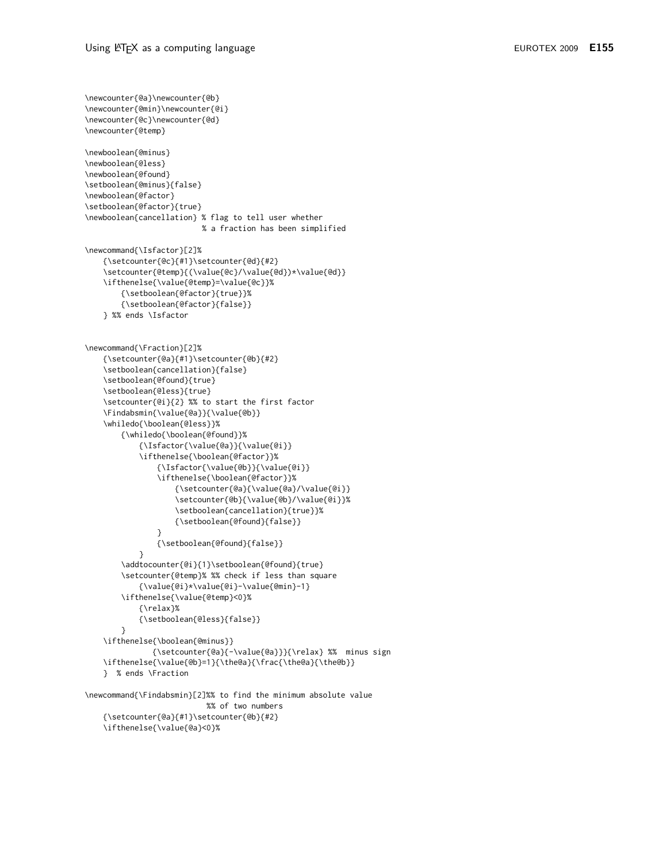```
\newcounter{@a}\newcounter{@b}
\newcounter{@min}\newcounter{@i}
\newcounter{@c}\newcounter{@d}
\newcounter{@temp}
\newboolean{@minus}
\newboolean{@less}
\newboolean{@found}
\setboolean{@minus}{false}
\newboolean{@factor}
\setboolean{@factor}{true}
\newboolean{cancellation} % flag to tell user whether
                          % a fraction has been simplified
\newcommand{\Isfactor}[2]%
    {\setcounter{@c}{#1}\setcounter{@d}{#2}
    \setcounter{@temp}{(\value{@c}/\value{@d})*\value{@d}}
    \ifthenelse{\value{@temp}=\value{@c}}%
        {\setboolean{@factor}{true}}%
        {\setboolean{@factor}{false}}
    } %% ends \Isfactor
\newcommand{\Fraction}[2]%
    {\setcounter{@a}{#1}\setcounter{@b}{#2}
    \setboolean{cancellation}{false}
    \setboolean{@found}{true}
    \setboolean{@less}{true}
    \setcounter{@i}{2} %% to start the first factor
    \Findabsmin{\value{@a}}{\value{@b}}
    \whiledo{\boolean{@less}}%
        {\whiledo{\boolean{@found}}%
            {\Isfactor{\value{@a}}{\value{@i}}
            \ifthenelse{\boolean{@factor}}%
                {\Isfactor{\value{@b}}{\value{@i}}
                \ifthenelse{\boolean{@factor}}%
                    {\setcounter{@a}{\value{@a}/\value{@i}}
                    \setcounter{@b}{\value{@b}/\value{@i}}%
                    \setboolean{cancellation}{true}}%
                    {\setboolean{@found}{false}}
                \rightarrow{\setboolean{@found}{false}}
            \mathcal{E}\addtocounter{@i}{1}\setboolean{@found}{true}
        \setcounter{@temp}% %% check if less than square
            {\value{@i}*\value{@i}-\value{@min}-1}
        \ifthenelse{\value{@temp}<0}%
            {\relax}%
            {\setboolean{@less}{false}}
        \mathcal{E}\ifthenelse{\boolean{@minus}}
               {\setcounter{@a}{-\value{@a}}}{\relax} %% minus sign
    \ifthenelse{\value{@b}=1}{\the@a}{\frac{\the@a}{\the@b}}
    } % ends \Fraction
\newcommand{\Findabsmin}[2]%% to find the minimum absolute value
                           %% of two numbers
    {\setcounter{@a}{#1}\setcounter{@b}{#2}
    \ifthenelse{\value{@a}<0}%
```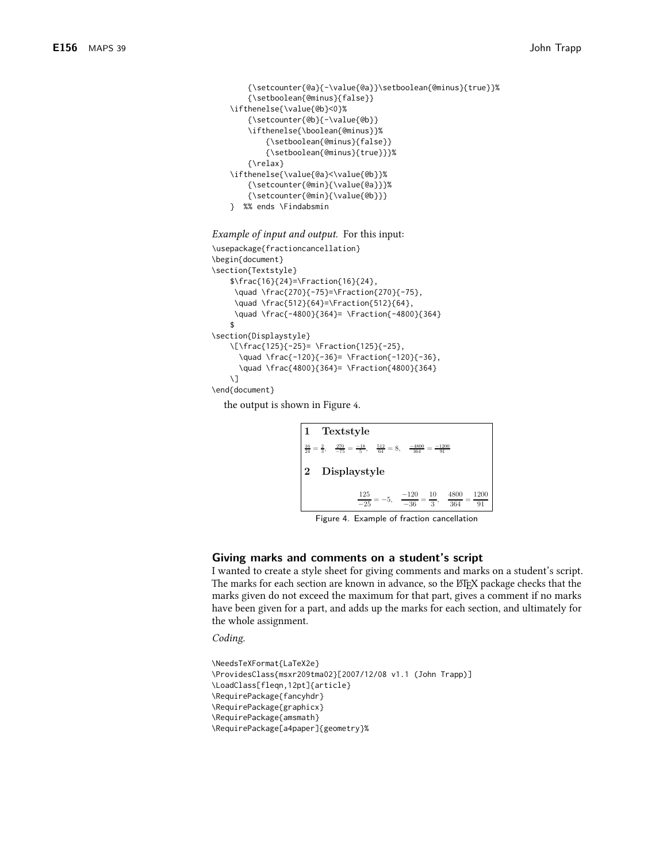```
{\setcounter{@a}{-\value{@a}}\setboolean{@minus}{true}}%
    {\setboolean{@minus}{false}}
\ifthenelse{\value{@b}<0}%
    {\setcounter{@b}{-\value{@b}}
    \ifthenelse{\boolean{@minus}}%
        {\setboolean{@minus}{false}}
        {\setboolean{@minus}{true}}}%
    {\relax}
\ifthenelse{\value{@a}<\value{@b}}%
    {\setcounter{@min}{\value{@a}}}%
    {\setcounter{@min}{\value{@b}}}
} %% ends \Findabsmin
```
#### *Example of input and output.* For this input:

```
\usepackage{fractioncancellation}
\begin{document}
\section{Textstyle}
    \frac{16}{24}=\Fraction{16}{24},
     \quad \frac{270}{-75}=\Fraction{270}{-75},
     \quad \frac{512}{64}=\Fraction{512}{64},
     \quad \frac{-4800}{364}= \Fraction{-4800}{364}
    \hat{\mathbf{r}}\section{Displaystyle}
    \[\frac{125}{-25}= \Fraction{125}{-25},
      \quad \frac{-120}{-36}= \Fraction{-120}{-36},
      \quad \frac{4800}{364}= \Fraction{4800}{364}
    \setminus]
\end{document}
```
the output is shown in Figure 4.



Figure 4. Example of fraction cancellation

## Giving marks and comments on a student's script

I wanted to create a style sheet for giving comments and marks on a student's script. The marks for each section are known in advance, so the ET<sub>F</sub>X package checks that the marks given do not exceed the maximum for that part, gives a comment if no marks have been given for a part, and adds up the marks for each section, and ultimately for the whole assignment.

Coding.

```
\NeedsTeXFormat{LaTeX2e}
\ProvidesClass{msxr209tma02}[2007/12/08 v1.1 (John Trapp)]
\LoadClass[fleqn,12pt]{article}
\RequirePackage{fancyhdr}
\RequirePackage{graphicx}
\RequirePackage{amsmath}
\RequirePackage[a4paper]{geometry}%
```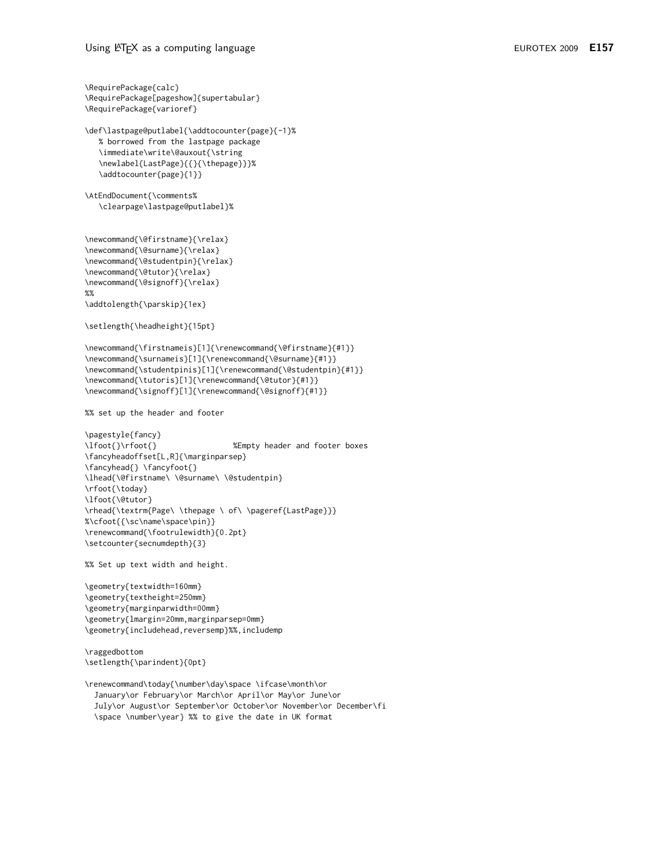```
\RequirePackage{calc}
\RequirePackage[pageshow]{supertabular}
\RequirePackage{varioref}
\def\lastpage@putlabel{\addtocounter{page}{-1}%
   % borrowed from the lastpage package
   \immediate\write\@auxout{\string
   \newlabel{LastPage}{{}{\thepage}}}%
   \addtocounter{page}{1}}
\AtEndDocument{\comments%
   \clearpage\lastpage@putlabel}%
\newcommand{\@firstname}{\relax}
\newcommand{\@surname}{\relax}
\newcommand{\@studentpin}{\relax}
\newcommand{\@tutor}{\relax}
\newcommand{\@signoff}{\relax}
\%%
\addtolength{\parskip}{1ex}
\setlength{\headheight}{15pt}
\newcommand{\firstnameis}[1]{\renewcommand{\@firstname}{#1}}
\newcommand{\surnameis}[1]{\renewcommand{\@surname}{#1}}
\newcommand{\studentpinis}[1]{\renewcommand{\@studentpin}{#1}}
\newcommand{\tutoris}[1]{\renewcommand{\@tutor}{#1}}
\newcommand{\signoff}[1]{\renewcommand{\@signoff}{#1}}
%% set up the header and footer
\pagestyle{fancy}
                                 %Empty header and footer boxes
\lfoot{}\rfoot{}
\fancyheadoffset[L,R]{\marginparsep}
\fancyhead{} \fancyfoot{}
\lhead{\@firstname\\@surname\\@studentpin}
\rfoot{\today}
\lfoot{\@tutor}
\rhead{\textrm{Page\ \thepage \ of\ \pageref{LastPage}}}
%\cfoot{{\sc\name\space\pin}}
\renewcommand{\footrulewidth}{0.2pt}
\setcounter{secnumdepth}{3}
%% Set up text width and height.
\geometry{textwidth=160mm}
\geometry{textheight=250mm}
\geometry{marginparwidth=00mm}
\geometry{lmargin=20mm,marginparsep=0mm}
\geometry{includehead,reversemp}%%,includemp
\raggedbottom
\setlength{\parindent}{0pt}
\renewcommand\today{\number\day\space \ifcase\month\or
  January\or February\or March\or April\or May\or June\or
  July\or August\or September\or October\or November\or December\fi
  \space \number\year} %% to give the date in UK format
```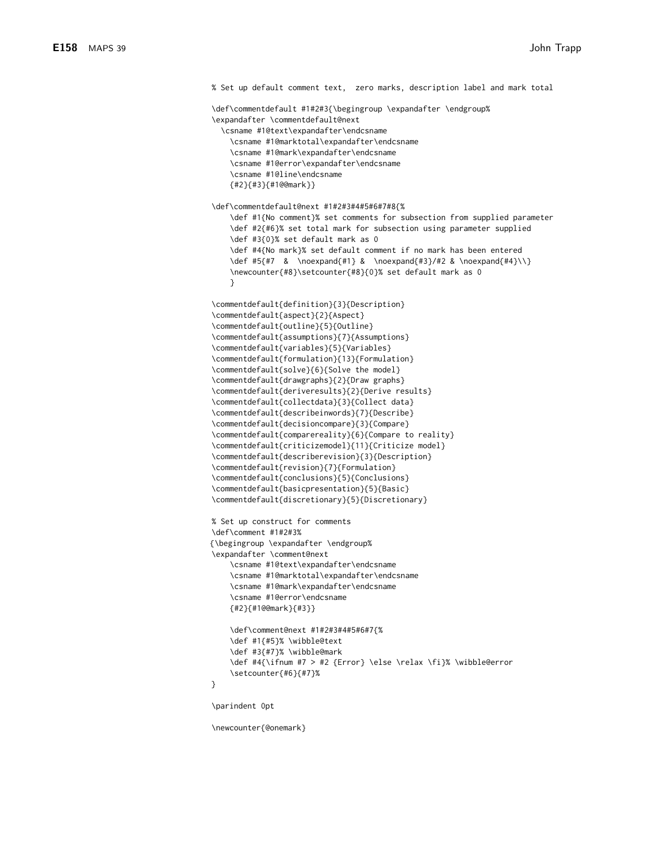% Set up default comment text, zero marks, description label and mark total \def\commentdefault #1#2#3{\begingroup \expandafter \endgroup% \expandafter \commentdefault@next \csname #1@text\expandafter\endcsname \csname #1@marktotal\exnandafter\endcsname \csname #1@mark\expandafter\endcsname \csname #1@error\expandafter\endcsname \csname #1@line\endcsname  ${#2}{#3}{#1@@mark}}$ \def\commentdefault@next #1#2#3#4#5#6#7#8{% \def #1{No comment}% set comments for subsection from supplied parameter \def #2{#6}% set total mark for subsection using parameter supplied \def #3{0}% set default mark as 0 \def #4{No mark}% set default comment if no mark has been entered \def #5{#7 & \noexpand{#1} & \noexpand{#3}/#2 & \noexpand{#4}\\} \newcounter{#8}\setcounter{#8}{0}% set default mark as 0  $\mathcal{E}$ \commentdefault{definition}{3}{Description} \commentdefault{aspect}{2}{Aspect} \commentdefault{outline}{5}{Outline} \commentdefault{assumptions}{7}{Assumptions} \commentdefault{variables}{5}{Variables} \commentdefault{formulation}{13}{Formulation} \commentdefault{solve}{6}{Solve the model} \commentdefault{drawgraphs}{2}{Draw graphs} \commentdefault{deriveresults}{2}{Derive results} \commentdefault{collectdata}{3}{Collect data} \commentdefault{describeinwords}{7}{Describe} \commentdefault{decisioncompare}{3}{Compare} \commentdefault{comparereality}{6}{Compare to reality} \commentdefault{criticizemodel}{11}{Criticize model} \commentdefault{describerevision}{3}{Description} \commentdefault{revision}{7}{Formulation} \commentdefault{conclusions}{5}{Conclusions} \commentdefault{basicpresentation}{5}{Basic} \commentdefault{discretionary}{5}{Discretionary} % Set up construct for comments \def\comment #1#2#3% {\begingroup \expandafter \endgroup% \expandafter \comment@next \csname #1@text\expandafter\endcsname \csname #1@marktotal\expandafter\endcsname \csname #1@mark\expandafter\endcsname \csname #1@error\endcsname  ${#2}{#100mark}{#3}}$ \def\comment@next #1#2#3#4#5#6#7{% \def #1{#5}% \wibble@text \def #3{#7}% \wibble@mark \def #4{\ifnum #7 > #2 {Error} \else \relax \fi}% \wibble@error \setcounter{#6}{#7}%  $\mathcal{L}$ \parindent 0pt

\newcounter{@onemark}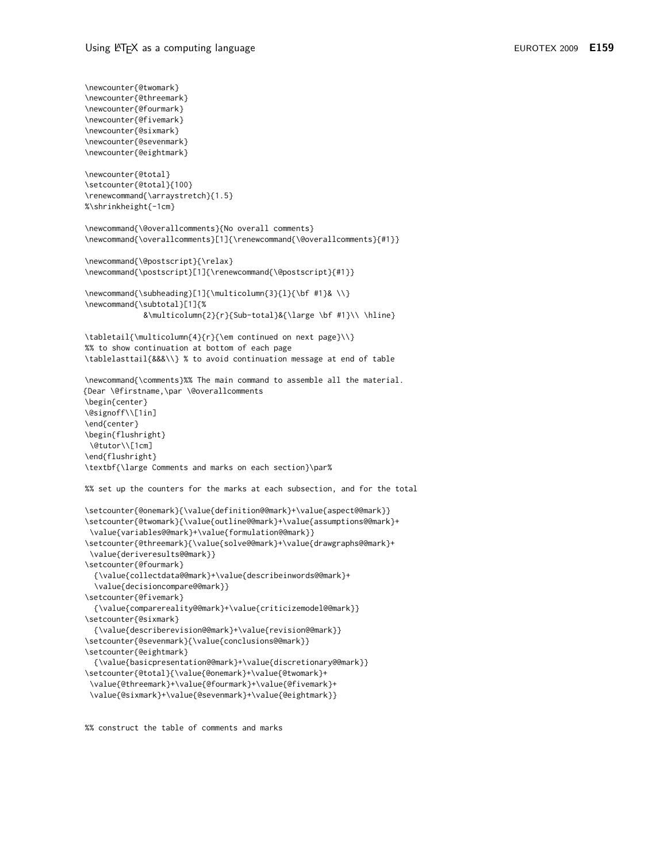```
\newcounter{@twomark}
\newcounter{@threemark}
\newcounter{@fourmark}
\newcounter{@fivemark}
\newcounter{@sixmark}
\newcounter{@sevenmark}
\newcounter{@eightmark}
\newcounter{@total}
\setcounter{@total}{100}
\renewcommand{\arraystretch}{1.5}
%\shrinkheight{-1cm}
\newcommand{\@overallcomments}{No overall comments}
\newcommand{\overallcomments}[1]{\renewcommand{\@overallcomments}{#1}}
\newcommand{\@postscript}{\relax}
\newcommand{\postscript}[1]{\renewcommand{\@postscript}{#1}}
\newcommand{\subheading}[1]{\multicolumn{3}{1}{\bf #1}& \\}
\newcommand{\subtotal}[1]{%
             &\multicolumn{2}{r}{Sub-total}&{\large \bf #1}\\ \hline}
\tabletail{\multicolumn{4}{r}{\em continued on next page}\\}
%% to show continuation at bottom of each page
\tablelasttail{&&&\\} % to avoid continuation message at end of table
\newcommand{\comments}%% The main command to assemble all the material.
{Dear \@firstname,\par \@overallcomments
\begin{center}
\@signoff\\[1in]
\end{center}
\begin{flushright}
 \@tutor\\[1cm]
\end{flushright}
\textbf{\large Comments and marks on each section}\par%
%% set up the counters for the marks at each subsection, and for the total
\setcounter{@onemark}{\value{definition@@mark}+\value{aspect@@mark}}
\setcounter{@twomark}{\value{outline@@mark}+\value{assumptions@@mark}+
\value{variables@@mark}+\value{formulation@@mark}}
\setcounter{@threemark}{\value{solve@@mark}+\value{drawgraphs@@mark}+
 \value{deriveresults@@mark}}
\setcounter{@fourmark}
  {\value{collectdata@@mark}+\value{describeinwords@@mark}+
  \value{decisioncompare@@mark}}
\setcounter{@fivemark}
  {\value{comparereality@@mark}+\value{criticizemodel@@mark}}
\setcounter{@sixmark}
  {\value{describerevision@@mark}+\value{revision@@mark}}
\setcounter{@sevenmark}{\value{conclusions@@mark}}
\setcounter{@eightmark}
  {\value{basicpresentation@@mark}+\value{discretionary@@mark}}
\setcounter{@total}{\value{@onemark}+\value{@twomark}+
 \value{@threemark}+\value{@fourmark}+\value{@fivemark}+
 \value{@sixmark}+\value{@sevenmark}+\value{@eightmark}}
```
%% construct the table of comments and marks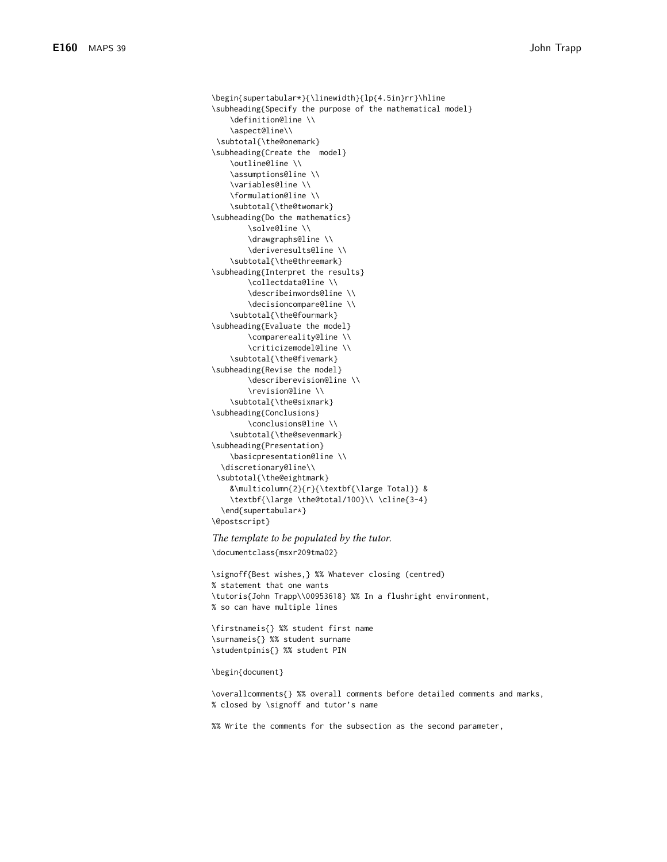```
\begin{supertabular*}{\linewidth}{lp{4.5in}rr}\hline
\subheading{Specify the purpose of the mathematical model}
    \definition@line \\
    \aspect@line\\
\subtotal{\the@onemark}
\subheading{Create the model}
    \outline@line \\
    \assumptions@line \\
    \variables@line \\
    \formulation@line \\
    \subtotal{\the@twomark}
\subheading{Do the mathematics}
       \solve@line \\
        \drawgraphs@line \\
        \deriveresults@line \\
    \subtotal{\the@threemark}
\subheading{Interpret the results}
        \collectdata@line \\
        \describeinwords@line \\
        \decisioncompare@line \\
    \subtotal{\the@fourmark}
\subheading{Evaluate the model}
        \comparereality@line \\
        \criticizemodel@line \\
    \subtotal{\the@fivemark}
\subheading{Revise the model}
       \describerevision@line \\
        \revision@line \\
    \subtotal{\the@sixmark}
\subheading{Conclusions}
       \conclusions@line \\
    \subtotal{\the@sevenmark}
\subheading{Presentation}
    \basicpresentation@line \\
  \discretionary@line\\
 \subtotal{\the@eightmark}
    &\multicolumn{2}{r}{\textbf{\large Total}} &
    \textbf{\large \the@total/100}\\ \cline{3-4}
  \end{supertabular*}
\@postscript}
```
The template to be populated by the tutor.

\documentclass{msxr209tma02}

\signoff{Best wishes,} %% Whatever closing (centred) % statement that one wants \tutoris{John Trapp\\00953618} %% In a flushright environment, % so can have multiple lines

\firstnameis{} %% student first name \surnameis{} %% student surname \studentpinis{} %% student PIN

#### \begin{document}

\overallcomments{} %% overall comments before detailed comments and marks, % closed by \signoff and tutor's name

%% Write the comments for the subsection as the second parameter,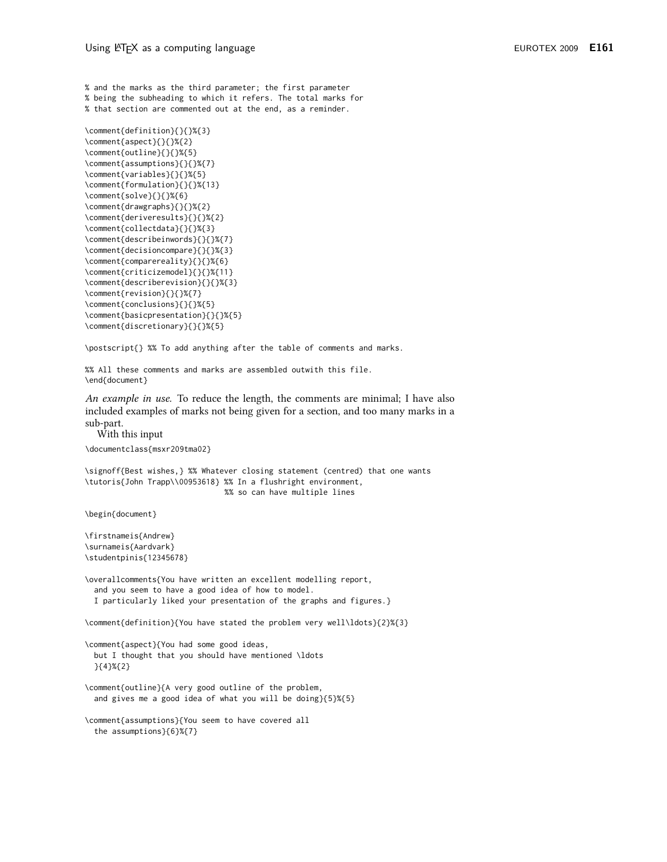% and the marks as the third parameter; the first parameter % being the subheading to which it refers. The total marks for % that section are commented out at the end, as a reminder.

```
\comment{definition}{}{}%{3}
\comment{aspect}{}{}%{2}
\comment{outline}{}{}%{5}
\comment{assumptions}{}{}%{7}
\comment{variables}{}{}%{5}
\comment{formulation}{}{}%{13}
\comment{solve}{}{}%{6}
\comment{drawgraphs}{}{}%{2}
\comment{deriveresults}{}{}%{2}
\comment{collectdata}{}{}%{3}
\comment{describeinwords}{}{}%{7}
\comment{decisioncompare}{}{}%{3}
\comment{comparereality}{}{}%{6}
\comment{criticizemodel}{}{}%{11}
\comment{describerevision}{}{}%{3}
\comment{revision}{}{}%{7}
\comment{conclusions}{}{}%{5}
\comment{basicpresentation}{}{}%{5}
\comment{discretionary}{}{}%{5}
```
\postscript{} %% To add anything after the table of comments and marks.

%% All these comments and marks are assembled outwith this file. \end{document}

An example in use. To reduce the length, the comments are minimal; I have also included examples of marks not being given for a section, and too many marks in a sub-part.

With this input

```
\documentclass{msxr209tma02}
```
\signoff{Best wishes,} %% Whatever closing statement (centred) that one wants \tutoris{John Trapp\\00953618} %% In a flushright environment, %% so can have multiple lines

\begin{document}

\firstnameis{Andrew} \surnameis{Aardvark} \studentpinis{12345678}

\overallcomments{You have written an excellent modelling report, and you seem to have a good idea of how to model. I particularly liked your presentation of the graphs and figures.}

\comment{definition}{You have stated the problem very well\ldots}{2}%{3}

\comment{aspect}{You had some good ideas, but I thought that you should have mentioned \ldots  $\{\{4\}\%_{\{2\}}\}$ 

\comment{outline}{A very good outline of the problem, and gives me a good idea of what you will be doing}{5}%{5}

\comment{assumptions}{You seem to have covered all the assumptions}{6}%{7}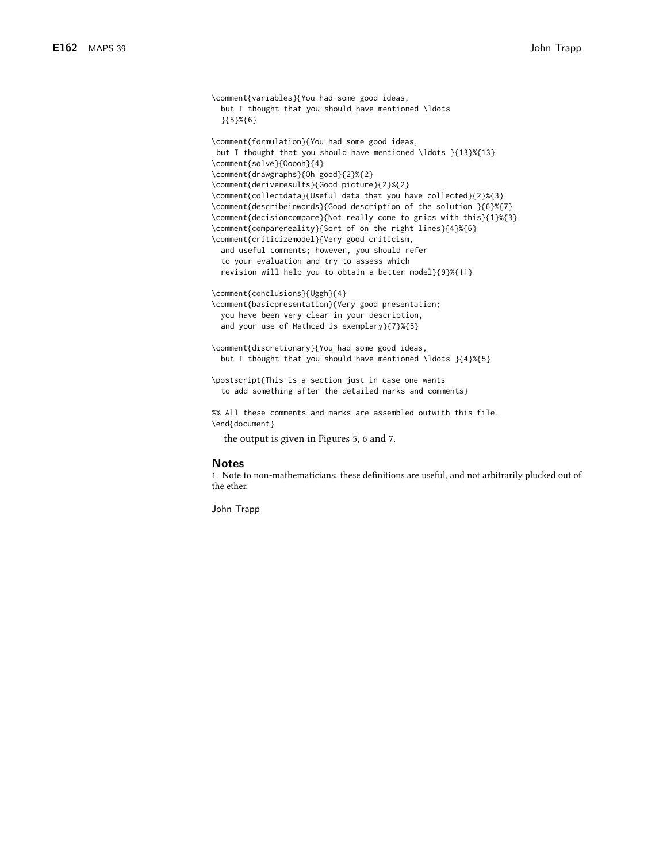```
\comment{variables}{You had some good ideas,
  but I thought that you should have mentioned \ldots
  \{5\}\%{6}
\comment{formulation}{You had some good ideas,
but I thought that you should have mentioned \ldots }{13}%{13}
\comment{solve}{0oooh}{4}
\comment{drawgraphs}{Oh good}{2}%{2}
\comment{deriveresults}{Good picture}{2}%{2}
\comment{collectdata}{Useful data that you have collected}{2}%{3}
\comment{describeinwords}{Good description of the solution }{6}%{7}
\comment{decisioncompare}{Not really come to grips with this}{1}%{3}
\comment{comparereality}{Sort of on the right lines}{4}%{6}
\comment{criticizemodel}{Very good criticism,
 and useful comments; however, you should refer
  to your evaluation and try to assess which
  revision will help you to obtain a better model}{9}%{11}
\comment{conclusions}{Uggh}{4}
\comment{basicpresentation}{Very good presentation;
  you have been very clear in your description,
  and your use of Mathcad is exemplary}{7}%{5}
\comment{discretionary}{You had some good ideas,
  but I thought that you should have mentioned \ldots }{4}%{5}
\postscript{This is a section just in case one wants
  to add something after the detailed marks and comments}
%% All these comments and marks are assembled outwith this file.
\end{document}
  the output is given in Figures 5, 6 and 7.
```
#### **Notes**

1. Note to non-mathematicians: these definitions are useful, and not arbitrarily plucked out of the ether.

John Trapp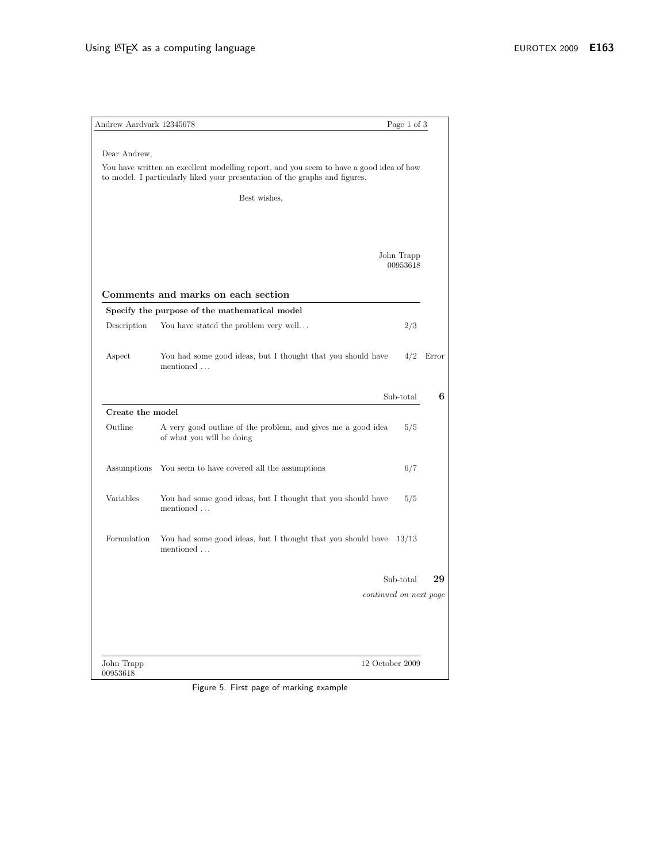| Dear Andrew,<br>You have written an excellent modelling report, and you seem to have a good idea of how<br>to model. I particularly liked your presentation of the graphs and figures.<br>Best wishes,<br>John Trapp<br>00953618<br>Comments and marks on each section<br>Specify the purpose of the mathematical model<br>2/3<br>Description<br>You have stated the problem very well<br>Aspect<br>You had some good ideas, but I thought that you should have<br>4/2<br>mentioned<br>Sub-total<br>Create the model<br>Outline<br>A very good outline of the problem, and gives me a good idea<br>5/5<br>of what you will be doing<br>Assumptions<br>You seem to have covered all the assumptions<br>6/7<br>Variables<br>You had some good ideas, but I thought that you should have<br>5/5<br>mentioned<br>Formulation<br>You had some good ideas, but I thought that you should have<br>13/13<br>mentioned<br>Sub-total<br>continued on next page | Andrew Aardvark 12345678 | Page 1 of 3 |       |
|------------------------------------------------------------------------------------------------------------------------------------------------------------------------------------------------------------------------------------------------------------------------------------------------------------------------------------------------------------------------------------------------------------------------------------------------------------------------------------------------------------------------------------------------------------------------------------------------------------------------------------------------------------------------------------------------------------------------------------------------------------------------------------------------------------------------------------------------------------------------------------------------------------------------------------------------------|--------------------------|-------------|-------|
|                                                                                                                                                                                                                                                                                                                                                                                                                                                                                                                                                                                                                                                                                                                                                                                                                                                                                                                                                      |                          |             |       |
|                                                                                                                                                                                                                                                                                                                                                                                                                                                                                                                                                                                                                                                                                                                                                                                                                                                                                                                                                      |                          |             |       |
|                                                                                                                                                                                                                                                                                                                                                                                                                                                                                                                                                                                                                                                                                                                                                                                                                                                                                                                                                      |                          |             |       |
|                                                                                                                                                                                                                                                                                                                                                                                                                                                                                                                                                                                                                                                                                                                                                                                                                                                                                                                                                      |                          |             |       |
|                                                                                                                                                                                                                                                                                                                                                                                                                                                                                                                                                                                                                                                                                                                                                                                                                                                                                                                                                      |                          |             |       |
|                                                                                                                                                                                                                                                                                                                                                                                                                                                                                                                                                                                                                                                                                                                                                                                                                                                                                                                                                      |                          |             |       |
|                                                                                                                                                                                                                                                                                                                                                                                                                                                                                                                                                                                                                                                                                                                                                                                                                                                                                                                                                      |                          |             |       |
|                                                                                                                                                                                                                                                                                                                                                                                                                                                                                                                                                                                                                                                                                                                                                                                                                                                                                                                                                      |                          |             |       |
|                                                                                                                                                                                                                                                                                                                                                                                                                                                                                                                                                                                                                                                                                                                                                                                                                                                                                                                                                      |                          |             | Error |
|                                                                                                                                                                                                                                                                                                                                                                                                                                                                                                                                                                                                                                                                                                                                                                                                                                                                                                                                                      |                          |             | 6     |
|                                                                                                                                                                                                                                                                                                                                                                                                                                                                                                                                                                                                                                                                                                                                                                                                                                                                                                                                                      |                          |             |       |
|                                                                                                                                                                                                                                                                                                                                                                                                                                                                                                                                                                                                                                                                                                                                                                                                                                                                                                                                                      |                          |             |       |
|                                                                                                                                                                                                                                                                                                                                                                                                                                                                                                                                                                                                                                                                                                                                                                                                                                                                                                                                                      |                          |             |       |
|                                                                                                                                                                                                                                                                                                                                                                                                                                                                                                                                                                                                                                                                                                                                                                                                                                                                                                                                                      |                          |             |       |
|                                                                                                                                                                                                                                                                                                                                                                                                                                                                                                                                                                                                                                                                                                                                                                                                                                                                                                                                                      |                          |             |       |
|                                                                                                                                                                                                                                                                                                                                                                                                                                                                                                                                                                                                                                                                                                                                                                                                                                                                                                                                                      |                          |             | 29    |
|                                                                                                                                                                                                                                                                                                                                                                                                                                                                                                                                                                                                                                                                                                                                                                                                                                                                                                                                                      |                          |             |       |
|                                                                                                                                                                                                                                                                                                                                                                                                                                                                                                                                                                                                                                                                                                                                                                                                                                                                                                                                                      |                          |             |       |
| 12 October 2009<br>John Trapp                                                                                                                                                                                                                                                                                                                                                                                                                                                                                                                                                                                                                                                                                                                                                                                                                                                                                                                        |                          |             |       |

Figure 5. First page of marking example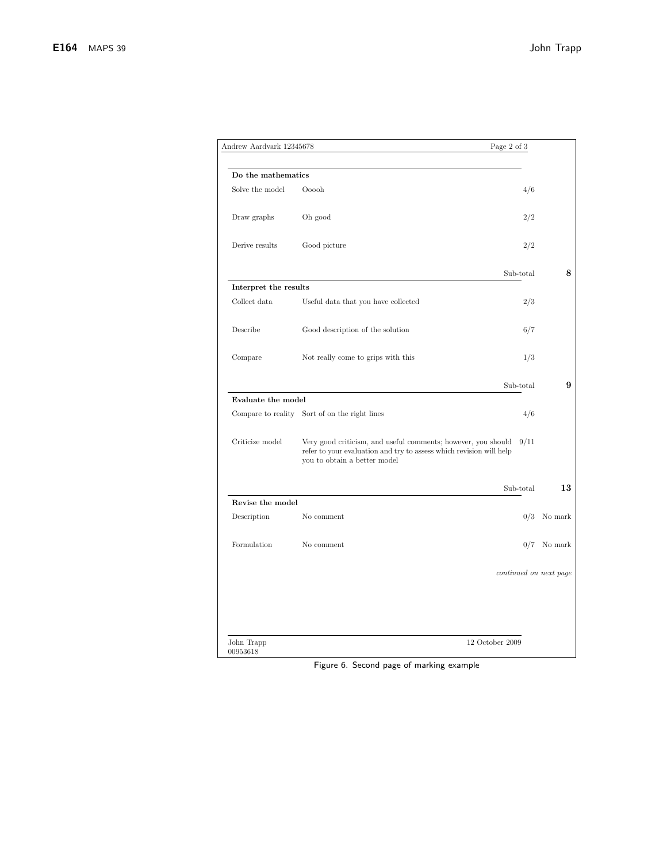| Andrew Aardvark 12345678 |                                                                                                                                                                      | Page 2 of 3 |                        |
|--------------------------|----------------------------------------------------------------------------------------------------------------------------------------------------------------------|-------------|------------------------|
| Do the mathematics       |                                                                                                                                                                      |             |                        |
| Solve the model          | Ooooh                                                                                                                                                                | 4/6         |                        |
| Draw graphs              | Oh good                                                                                                                                                              | 2/2         |                        |
| Derive results           | Good picture                                                                                                                                                         | 2/2         |                        |
|                          |                                                                                                                                                                      | Sub-total   | 8                      |
| Interpret the results    |                                                                                                                                                                      |             |                        |
| Collect data             | Useful data that you have collected                                                                                                                                  | 2/3         |                        |
| Describe                 | Good description of the solution                                                                                                                                     | 6/7         |                        |
| Compare                  | Not really come to grips with this                                                                                                                                   | 1/3         |                        |
|                          |                                                                                                                                                                      | Sub-total   | 9                      |
| Evaluate the model       |                                                                                                                                                                      |             |                        |
|                          | Compare to reality Sort of on the right lines                                                                                                                        | 4/6         |                        |
| Criticize model          | Very good criticism, and useful comments; however, you should<br>refer to your evaluation and try to assess which revision will help<br>you to obtain a better model | 9/11        |                        |
|                          |                                                                                                                                                                      | Sub-total   | 13                     |
| Revise the model         |                                                                                                                                                                      |             |                        |
| Description              | No comment                                                                                                                                                           | 0/3         | No mark                |
| Formulation              | No comment.                                                                                                                                                          |             | $0/7$ No mark          |
|                          |                                                                                                                                                                      |             | continued on next page |
|                          |                                                                                                                                                                      |             |                        |
| John Trapp<br>00953618   | 12 October 2009                                                                                                                                                      |             |                        |

Figure 6. Second page of marking example